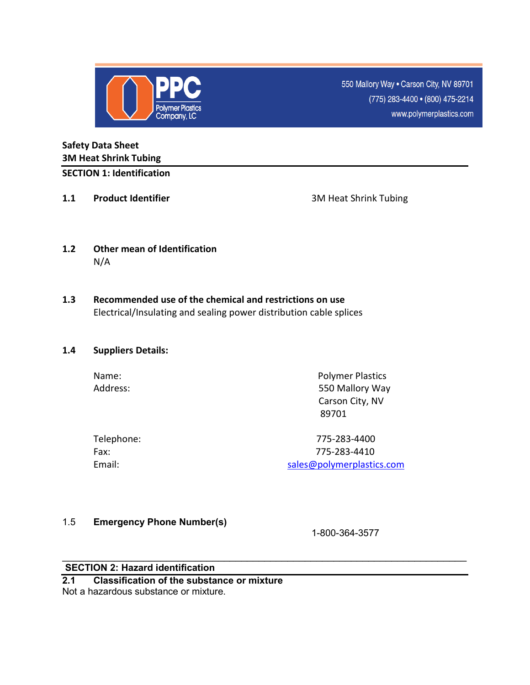

550 Mallory Way . Carson City, NV 89701 (775) 283-4400 • (800) 475-2214 www.polymerplastics.com

### **Safety Data Sheet 3M Heat Shrink Tubing SECTION 1: Identification**

**1.1 Product Identifier 1.1 Product Identifier 1.1 3M Heat Shrink Tubing** 

- **1.2 Other mean of Identification**  N/A
- **1.3 Recommended use of the chemical and restrictions on use**  Electrical/Insulating and sealing power distribution cable splices

#### **1.4 Suppliers Details:**

Name: Name: Polymer Plastics Address: 550 Mallory Way Carson City, NV and the contract of the state of the state of the state of the state of the state of the state of the state of the state of the state of the state of the state of the state of the state of the state of the state of the sta

| Telephone: |
|------------|
| Fax:       |
| Email:     |

Telephone: 775-283-4400 Fax: 775-283-4410 sales@polymerplastics.com

#### 1.5 **Emergency Phone Number(s)**

1-800-364-3577

#### \_\_\_\_\_\_\_\_\_\_\_\_\_\_\_\_\_\_\_\_\_\_\_\_\_\_\_\_\_\_\_\_\_\_\_\_\_\_\_\_\_\_\_\_\_\_\_\_\_\_\_\_\_\_\_\_\_\_\_\_\_\_\_\_\_\_\_\_\_\_ **SECTION 2: Hazard identification**

**2.1 Classification of the substance or mixture**  Not a hazardous substance or mixture.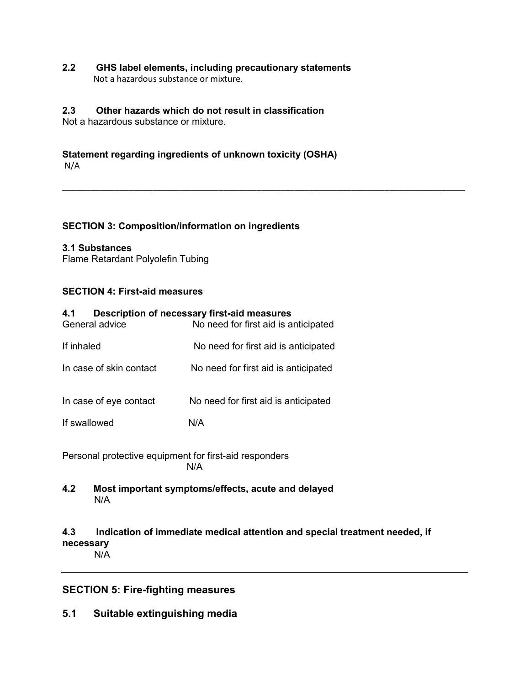#### **2.2 GHS label elements, including precautionary statements**  Not a hazardous substance or mixture.

## **2.3 Other hazards which do not result in classification**

Not a hazardous substance or mixture.

# **Statement regarding ingredients of unknown toxicity (OSHA)**

N/A

#### **SECTION 3: Composition/information on ingredients**

#### **3.1 Substances**

Flame Retardant Polyolefin Tubing

#### **SECTION 4: First-aid measures**

| 4.1<br>General advice                                         | Description of necessary first-aid measures<br>No need for first aid is anticipated |  |  |
|---------------------------------------------------------------|-------------------------------------------------------------------------------------|--|--|
| If inhaled                                                    | No need for first aid is anticipated                                                |  |  |
| In case of skin contact                                       | No need for first aid is anticipated                                                |  |  |
| In case of eye contact                                        | No need for first aid is anticipated                                                |  |  |
| If swallowed                                                  | N/A                                                                                 |  |  |
| Personal protective equipment for first-aid responders<br>N/A |                                                                                     |  |  |
|                                                               |                                                                                     |  |  |

N/A

**4.2 Most important symptoms/effects, acute and delayed** 

# **4.3 Indication of immediate medical attention and special treatment needed, if necessary**

N/A

# **SECTION 5: Fire-fighting measures**

**5.1 Suitable extinguishing media**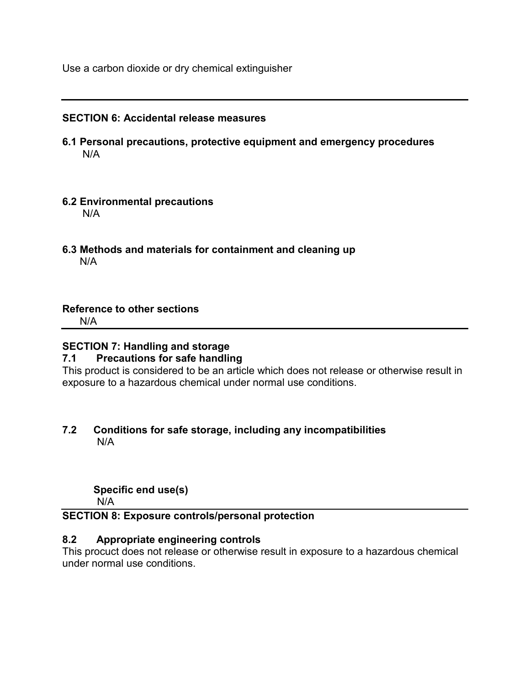Use a carbon dioxide or dry chemical extinguisher

#### **SECTION 6: Accidental release measures**

- **6.1 Personal precautions, protective equipment and emergency procedures** N/A
- **6.2 Environmental precautions**  N/A
- **6.3 Methods and materials for containment and cleaning up**  N/A

#### **Reference to other sections**

N/A

# **SECTION 7: Handling and storage**

#### **7.1 Precautions for safe handling**

This product is considered to be an article which does not release or otherwise result in exposure to a hazardous chemical under normal use conditions.

#### **7.2 Conditions for safe storage, including any incompatibilities**  N/A

#### **Specific end use(s)**

N/A

# **SECTION 8: Exposure controls/personal protection**

#### **8.2 Appropriate engineering controls**

This procuct does not release or otherwise result in exposure to a hazardous chemical under normal use conditions.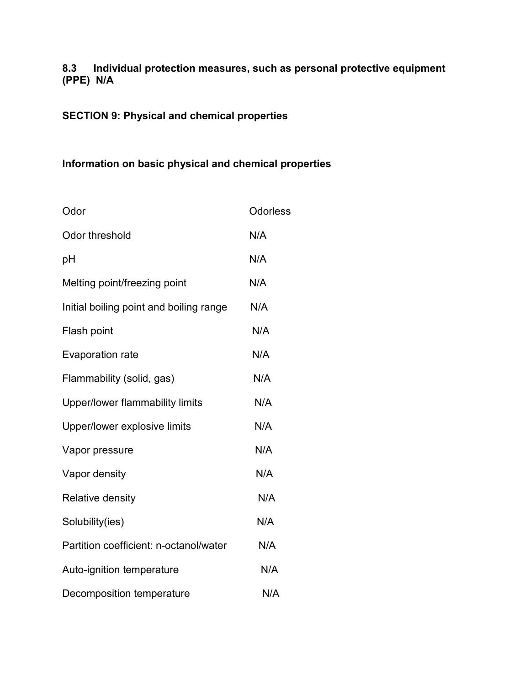# **8.3 Individual protection measures, such as personal protective equipment (PPE) N/A**

# **SECTION 9: Physical and chemical properties**

# **Information on basic physical and chemical properties**

| Odor                                    | <b>Odorless</b> |
|-----------------------------------------|-----------------|
| Odor threshold                          | N/A             |
| рH                                      | N/A             |
| Melting point/freezing point            | N/A             |
| Initial boiling point and boiling range | N/A             |
| Flash point                             | N/A             |
| Evaporation rate                        | N/A             |
| Flammability (solid, gas)               | N/A             |
| Upper/lower flammability limits         | N/A             |
| Upper/lower explosive limits            | N/A             |
| Vapor pressure                          | N/A             |
| Vapor density                           | N/A             |
| <b>Relative density</b>                 | N/A             |
| Solubility(ies)                         | N/A             |
| Partition coefficient: n-octanol/water  | N/A             |
| Auto-ignition temperature               | N/A             |
| Decomposition temperature               | N/A             |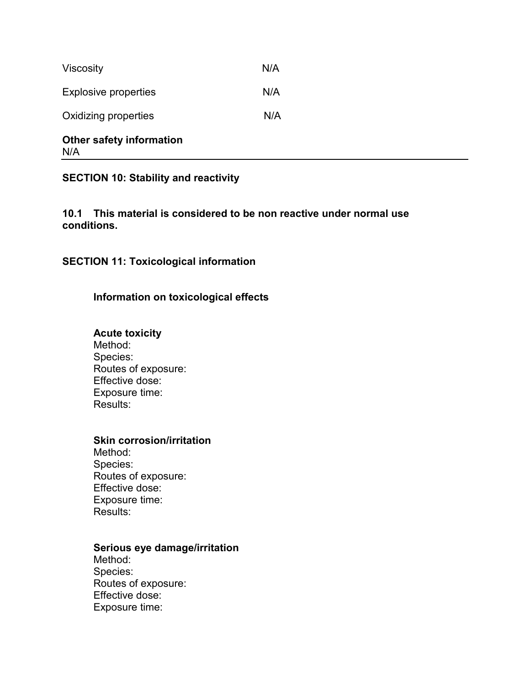| <b>Other safety information</b> |     |
|---------------------------------|-----|
| Oxidizing properties            | N/A |
| <b>Explosive properties</b>     | N/A |
| <b>Viscosity</b>                | N/A |

|--|--|

# **SECTION 10: Stability and reactivity**

#### **10.1 This material is considered to be non reactive under normal use conditions.**

**SECTION 11: Toxicological information** 

# **Information on toxicological effects**

#### **Acute toxicity**

Method: Species: Routes of exposure: Effective dose: Exposure time: Results:

### **Skin corrosion/irritation**

Method: Species: Routes of exposure: Effective dose: Exposure time: Results:

#### **Serious eye damage/irritation**

Method: Species: Routes of exposure: Effective dose: Exposure time: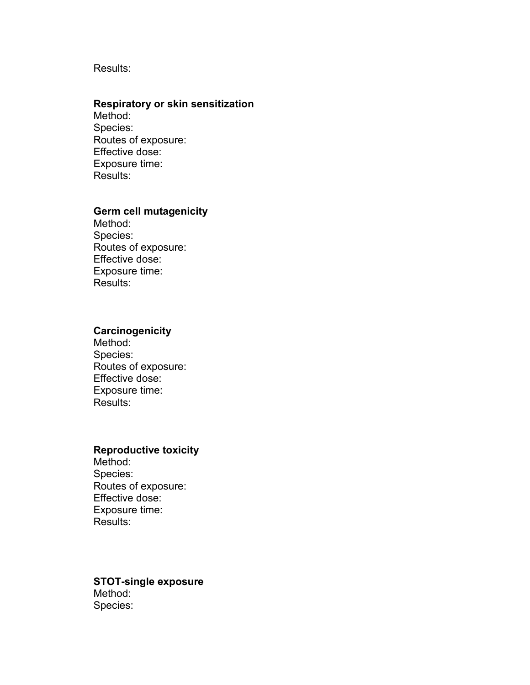#### Results:

#### **Respiratory or skin sensitization**

Method: Species: Routes of exposure: Effective dose: Exposure time: Results:

## **Germ cell mutagenicity**

Method: Species: Routes of exposure: Effective dose: Exposure time: Results:

## **Carcinogenicity**

Method: Species: Routes of exposure: Effective dose: Exposure time: Results:

#### **Reproductive toxicity**

Method: Species: Routes of exposure: Effective dose: Exposure time: Results:

## **STOT-single exposure**  Method: Species: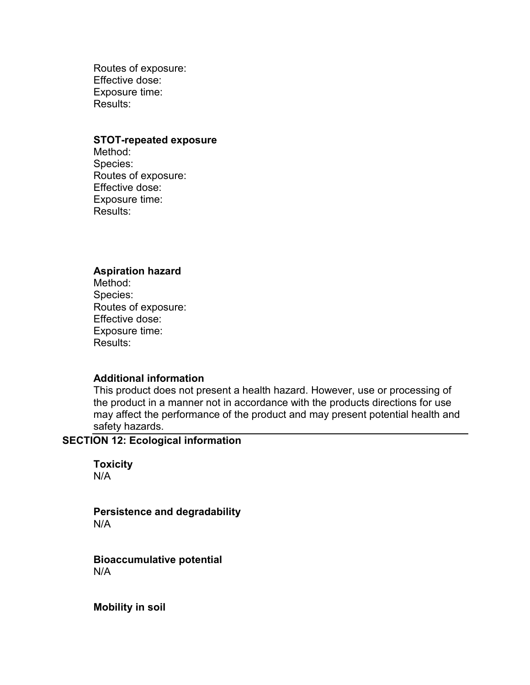Routes of exposure: Effective dose: Exposure time: Results:

#### **STOT-repeated exposure**

Method: Species: Routes of exposure: Effective dose: Exposure time: Results:

#### **Aspiration hazard**

Method: Species: Routes of exposure: Effective dose: Exposure time: Results:

#### **Additional information**

This product does not present a health hazard. However, use or processing of the product in a manner not in accordance with the products directions for use may affect the performance of the product and may present potential health and safety hazards.

# **SECTION 12: Ecological information**

**Toxicity**  N/A

**Persistence and degradability**  N/A

**Bioaccumulative potential**  N/A

**Mobility in soil**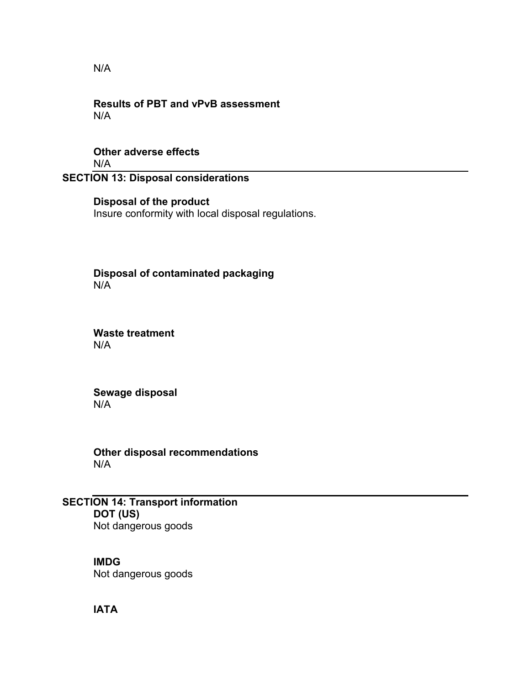N/A

#### **Results of PBT and vPvB assessment**  N/A

#### **Other adverse effects**  N/A

# **SECTION 13: Disposal considerations**

# **Disposal of the product**  Insure conformity with local disposal regulations.

**Disposal of contaminated packaging**   $N/A$ 

**Waste treatment**  N/A

**Sewage disposal**  N/A

**Other disposal recommendations**  N/A

**SECTION 14: Transport information DOT (US)**  Not dangerous goods

> **IMDG**  Not dangerous goods

**IATA**